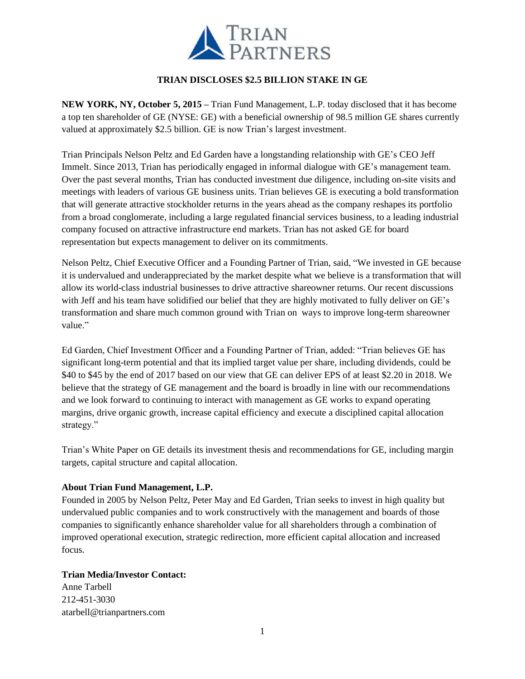

## **TRIAN DISCLOSES \$2.5 BILLION STAKE IN GE**

**NEW YORK, NY, October 5, 2015 –** Trian Fund Management, L.P. today disclosed that it has become a top ten shareholder of GE (NYSE: GE) with a beneficial ownership of 98.5 million GE shares currently valued at approximately \$2.5 billion. GE is now Trian's largest investment.

Trian Principals Nelson Peltz and Ed Garden have a longstanding relationship with GE's CEO Jeff Immelt. Since 2013, Trian has periodically engaged in informal dialogue with GE's management team. Over the past several months, Trian has conducted investment due diligence, including on-site visits and meetings with leaders of various GE business units. Trian believes GE is executing a bold transformation that will generate attractive stockholder returns in the years ahead as the company reshapes its portfolio from a broad conglomerate, including a large regulated financial services business, to a leading industrial company focused on attractive infrastructure end markets. Trian has not asked GE for board representation but expects management to deliver on its commitments.

Nelson Peltz, Chief Executive Officer and a Founding Partner of Trian, said, "We invested in GE because it is undervalued and underappreciated by the market despite what we believe is a transformation that will allow its world-class industrial businesses to drive attractive shareowner returns. Our recent discussions with Jeff and his team have solidified our belief that they are highly motivated to fully deliver on GE's transformation and share much common ground with Trian on ways to improve long-term shareowner value."

Ed Garden, Chief Investment Officer and a Founding Partner of Trian, added: "Trian believes GE has significant long-term potential and that its implied target value per share, including dividends, could be \$40 to \$45 by the end of 2017 based on our view that GE can deliver EPS of at least \$2.20 in 2018. We believe that the strategy of GE management and the board is broadly in line with our recommendations and we look forward to continuing to interact with management as GE works to expand operating margins, drive organic growth, increase capital efficiency and execute a disciplined capital allocation strategy."

Trian's White Paper on GE details its investment thesis and recommendations for GE, including margin targets, capital structure and capital allocation.

## **About Trian Fund Management, L.P.**

Founded in 2005 by Nelson Peltz, Peter May and Ed Garden, Trian seeks to invest in high quality but undervalued public companies and to work constructively with the management and boards of those companies to significantly enhance shareholder value for all shareholders through a combination of improved operational execution, strategic redirection, more efficient capital allocation and increased focus.

## **Trian Media/Investor Contact:**

Anne Tarbell 212-451-3030 atarbell@trianpartners.com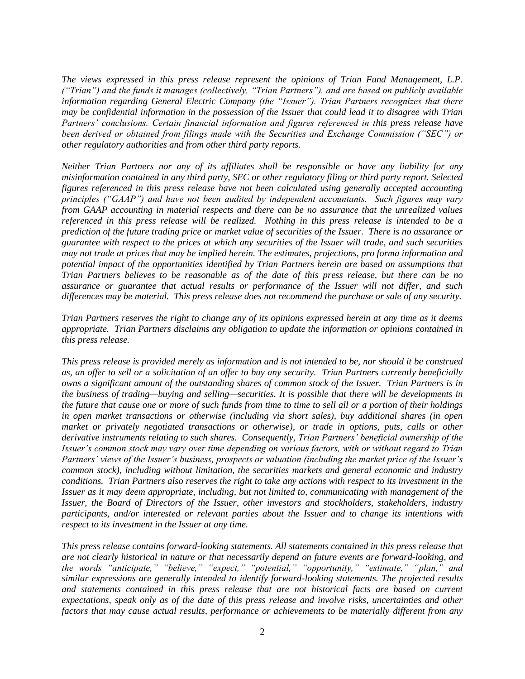*The views expressed in this press release represent the opinions of Trian Fund Management, L.P. ("Trian") and the funds it manages (collectively, "Trian Partners"), and are based on publicly available information regarding General Electric Company (the "Issuer"). Trian Partners recognizes that there may be confidential information in the possession of the Issuer that could lead it to disagree with Trian Partners' conclusions. Certain financial information and figures referenced in this press release have been derived or obtained from filings made with the Securities and Exchange Commission ("SEC") or other regulatory authorities and from other third party reports.* 

*Neither Trian Partners nor any of its affiliates shall be responsible or have any liability for any misinformation contained in any third party, SEC or other regulatory filing or third party report. Selected figures referenced in this press release have not been calculated using generally accepted accounting principles ("GAAP") and have not been audited by independent accountants. Such figures may vary from GAAP accounting in material respects and there can be no assurance that the unrealized values referenced in this press release will be realized. Nothing in this press release is intended to be a prediction of the future trading price or market value of securities of the Issuer. There is no assurance or guarantee with respect to the prices at which any securities of the Issuer will trade, and such securities may not trade at prices that may be implied herein. The estimates, projections, pro forma information and potential impact of the opportunities identified by Trian Partners herein are based on assumptions that Trian Partners believes to be reasonable as of the date of this press release, but there can be no assurance or guarantee that actual results or performance of the Issuer will not differ, and such differences may be material. This press release does not recommend the purchase or sale of any security.*

*Trian Partners reserves the right to change any of its opinions expressed herein at any time as it deems appropriate. Trian Partners disclaims any obligation to update the information or opinions contained in this press release.* 

*This press release is provided merely as information and is not intended to be, nor should it be construed as, an offer to sell or a solicitation of an offer to buy any security. Trian Partners currently beneficially owns a significant amount of the outstanding shares of common stock of the Issuer. Trian Partners is in the business of trading—buying and selling—securities. It is possible that there will be developments in the future that cause one or more of such funds from time to time to sell all or a portion of their holdings in open market transactions or otherwise (including via short sales), buy additional shares (in open market or privately negotiated transactions or otherwise), or trade in options, puts, calls or other derivative instruments relating to such shares. Consequently, Trian Partners' beneficial ownership of the Issuer's common stock may vary over time depending on various factors, with or without regard to Trian Partners' views of the Issuer's business, prospects or valuation (including the market price of the Issuer's common stock), including without limitation, the securities markets and general economic and industry conditions. Trian Partners also reserves the right to take any actions with respect to its investment in the Issuer as it may deem appropriate, including, but not limited to, communicating with management of the Issuer, the Board of Directors of the Issuer, other investors and stockholders, stakeholders, industry participants, and/or interested or relevant parties about the Issuer and to change its intentions with respect to its investment in the Issuer at any time.* 

*This press release contains forward-looking statements. All statements contained in this press release that are not clearly historical in nature or that necessarily depend on future events are forward-looking, and the words "anticipate," "believe," "expect," "potential," "opportunity," "estimate," "plan," and similar expressions are generally intended to identify forward-looking statements. The projected results and statements contained in this press release that are not historical facts are based on current expectations, speak only as of the date of this press release and involve risks, uncertainties and other factors that may cause actual results, performance or achievements to be materially different from any*